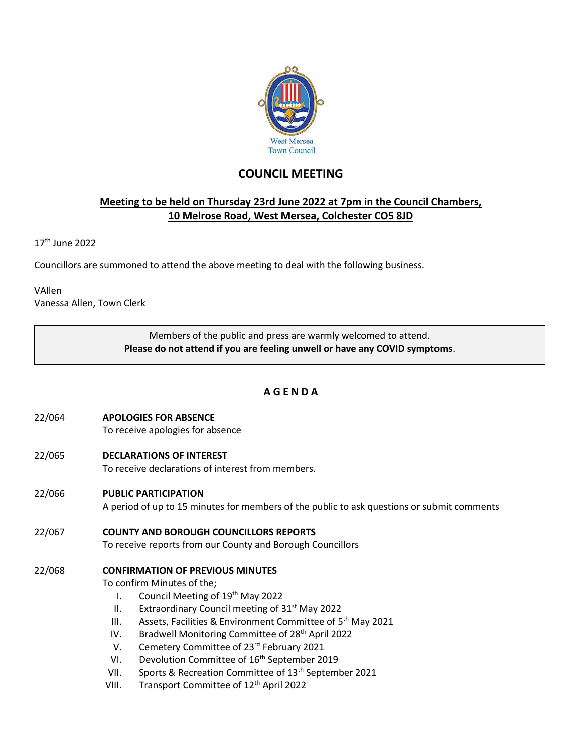

# **COUNCIL MEETING**

## **Meeting to be held on Thursday 23rd June 2022 at 7pm in the Council Chambers, 10 Melrose Road, West Mersea, Colchester CO5 8JD**

17 th June 2022

Councillors are summoned to attend the above meeting to deal with the following business.

VAllen Vanessa Allen, Town Clerk

> Members of the public and press are warmly welcomed to attend. **Please do not attend if you are feeling unwell or have any COVID symptoms**.

## **A G E N D A**

- 22/064 **APOLOGIES FOR ABSENCE** To receive apologies for absence
- 22/065 **DECLARATIONS OF INTEREST**

To receive declarations of interest from members.

22/066 **PUBLIC PARTICIPATION**

A period of up to 15 minutes for members of the public to ask questions or submit comments

22/067 **COUNTY AND BOROUGH COUNCILLORS REPORTS** To receive reports from our County and Borough Councillors

## 22/068 **CONFIRMATION OF PREVIOUS MINUTES**

To confirm Minutes of the;

- I. Council Meeting of 19<sup>th</sup> May 2022
- II. Extraordinary Council meeting of  $31<sup>st</sup>$  May 2022
- III. Assets, Facilities & Environment Committee of  $5<sup>th</sup>$  May 2021
- IV. Bradwell Monitoring Committee of 28<sup>th</sup> April 2022
- V. Cemetery Committee of 23<sup>rd</sup> February 2021
- VI. Devolution Committee of 16<sup>th</sup> September 2019
- VII. Sports & Recreation Committee of 13<sup>th</sup> September 2021
- VIII. Transport Committee of 12<sup>th</sup> April 2022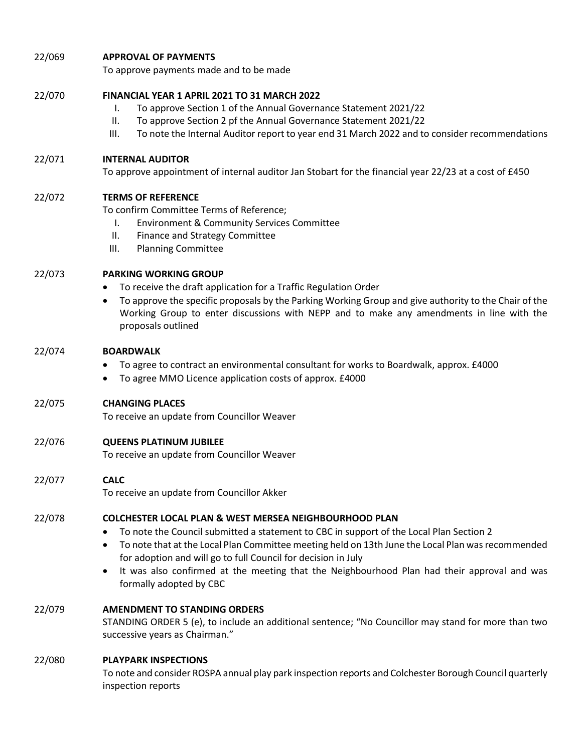### 22/069 **APPROVAL OF PAYMENTS**

To approve payments made and to be made

#### 22/070 **FINANCIAL YEAR 1 APRIL 2021 TO 31 MARCH 2022**

- I. To approve Section 1 of the Annual Governance Statement 2021/22
- II. To approve Section 2 pf the Annual Governance Statement 2021/22
- III. To note the Internal Auditor report to year end 31 March 2022 and to consider recommendations

#### 22/071 **INTERNAL AUDITOR**

To approve appointment of internal auditor Jan Stobart for the financial year 22/23 at a cost of £450

#### 22/072 **TERMS OF REFERENCE**

To confirm Committee Terms of Reference;

- I. Environment & Community Services Committee
- II. Finance and Strategy Committee
- III. Planning Committee

#### 22/073 **PARKING WORKING GROUP**

- To receive the draft application for a Traffic Regulation Order
- To approve the specific proposals by the Parking Working Group and give authority to the Chair of the Working Group to enter discussions with NEPP and to make any amendments in line with the proposals outlined

#### 22/074 **BOARDWALK**

- To agree to contract an environmental consultant for works to Boardwalk, approx. £4000
- To agree MMO Licence application costs of approx. £4000

#### 22/075 **CHANGING PLACES**

To receive an update from Councillor Weaver

## 22/076 **QUEENS PLATINUM JUBILEE**

To receive an update from Councillor Weaver

## 22/077 **CALC**

To receive an update from Councillor Akker

## 22/078 **COLCHESTER LOCAL PLAN & WEST MERSEA NEIGHBOURHOOD PLAN**

- To note the Council submitted a statement to CBC in support of the Local Plan Section 2
- To note that at the Local Plan Committee meeting held on 13th June the Local Plan was recommended for adoption and will go to full Council for decision in July
- It was also confirmed at the meeting that the Neighbourhood Plan had their approval and was formally adopted by CBC

## 22/079 **AMENDMENT TO STANDING ORDERS**

STANDING ORDER 5 (e), to include an additional sentence; "No Councillor may stand for more than two successive years as Chairman."

## 22/080 **PLAYPARK INSPECTIONS**

To note and consider ROSPA annual play park inspection reports and Colchester Borough Council quarterly inspection reports